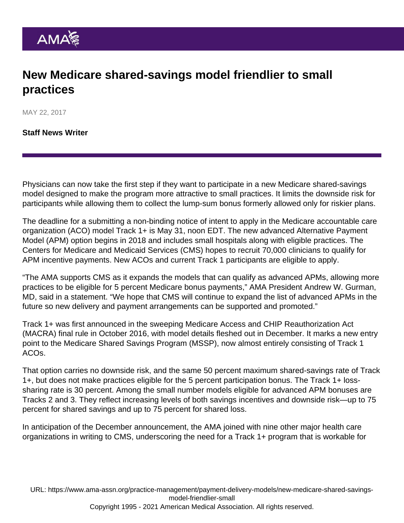## New Medicare shared-savings model friendlier to small practices

MAY 22, 2017

[Staff News Writer](https://www.ama-assn.org/news-leadership-viewpoints/authors-news-leadership-viewpoints/staff-news-writer)

Physicians can now take the first step if they want to participate in a new Medicare shared-savings model designed to make the program more attractive to small practices. It limits the downside risk for participants while allowing them to collect the lump-sum bonus formerly allowed only for riskier plans.

The deadline for a submitting a non-binding notice of intent to apply in the Medicare accountable care organization (ACO) model [Track 1+](https://www.cms.gov/Medicare/Medicare-Fee-for-Service-Payment/sharedsavingsprogram/Downloads/New-Accountable-Care-Organization-Model-Opportunity-Fact-Sheet.pdf) is May 31, noon EDT. The new advanced Alternative Payment Model (APM) option begins in 2018 and includes small hospitals along with eligible practices. The Centers for Medicare and Medicaid Services (CMS) hopes to recruit 70,000 clinicians to qualify for APM incentive payments. New ACOs and current Track 1 participants are eligible to apply.

"The AMA supports CMS as it expands the models that can qualify as advanced APMs, allowing more practices to be eligible for 5 percent Medicare bonus payments," AMA President Andrew W. Gurman, MD, said in a statement. "We hope that CMS will continue to expand the list of advanced APMs in the future so new delivery and payment arrangements can be supported and promoted."

Track 1+ was first announced in the sweeping Medicare Access and CHIP Reauthorization Act (MACRA) final rule in October 2016, with model details fleshed out in December. It marks a new entry point to the Medicare Shared Savings Program (MSSP), now almost entirely consisting of Track 1 ACOs.

That option carries no downside risk, and the same 50 percent maximum shared-savings rate of Track 1+, but does not make practices eligible for the 5 percent participation bonus. The Track 1+ losssharing rate is 30 percent. Among the small number models eligible for advanced APM bonuses are Tracks 2 and 3. They reflect increasing levels of both savings incentives and downside risk—up to 75 percent for shared savings and up to 75 percent for shared loss.

In anticipation of the December announcement, the AMA joined with nine other major health care organizations in writing to CMS, underscoring the need for a Track 1+ program that is workable for

URL: [https://www.ama-assn.org/practice-management/payment-delivery-models/new-medicare-shared-savings](https://www.ama-assn.org/practice-management/payment-delivery-models/new-medicare-shared-savings-model-friendlier-small)[model-friendlier-small](https://www.ama-assn.org/practice-management/payment-delivery-models/new-medicare-shared-savings-model-friendlier-small)